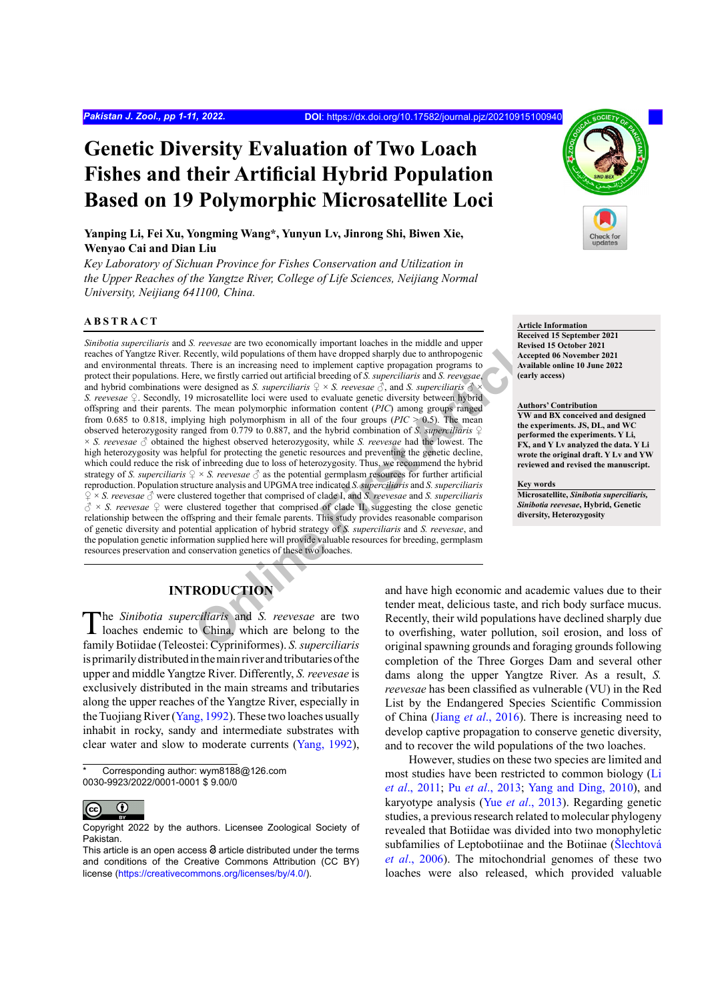# **Genetic Diversity Evaluation of Two Loach Fishes and their Artificial Hybrid Population Based on 19 Polymorphic Microsatellite Loci**

**Yanping Li, Fei Xu, Yongming Wang\*, Yunyun Lv, Jinrong Shi, Biwen Xie, Wenyao Cai and Dian Liu**

*Key Laboratory of Sichuan Province for Fishes Conservation and Utilization in the Upper Reaches of the Yangtze River, College of Life Sciences, Neijiang Normal University, Neijiang 641100, China.*

## **ABSTRACT**

*Chierare are two* economically important loaches in the middle and upper<br>
Chierarce are two economically important loaches in the middle and upper<br>
There is an increasing need to implement captive propagation programs to<br> *Sinibotia superciliaris* and *S. reevesae* are two economically important loaches in the middle and upper reaches of Yangtze River. Recently, wild populations of them have dropped sharply due to anthropogenic and environmental threats. There is an increasing need to implement captive propagation programs to protect their populations. Here, we firstly carried out artificial breeding of *S. superciliaris* and *S. reevesae*, and hybrid combinations were designed as *S. superciliaris*  $\frac{Q}{\sim} \times S$ . reevesae  $\frac{3}{\sqrt{2}}$ , and *S. superciliaris*  $\frac{3}{\sqrt{2}}$ *S. reevesae* ♀. Secondly, 19 microsatellite loci were used to evaluate genetic diversity between hybrid offspring and their parents. The mean polymorphic information content (*PIC*) among groups ranged from 0.685 to 0.818, implying high polymorphism in all of the four groups ( $PIC > 0.5$ ). The mean observed heterozygosity ranged from 0.779 to 0.887, and the hybrid combination of *S. superciliaris* ♀ × *S. reevesae* ♂ obtained the highest observed heterozygosity, while *S. reevesae* had the lowest. The high heterozygosity was helpful for protecting the genetic resources and preventing the genetic decline, which could reduce the risk of inbreeding due to loss of heterozygosity. Thus, we recommend the hybrid strategy of *S. superciliaris* ♀ × *S. reevesae* ♂ as the potential germplasm resources for further artificial reproduction. Population structure analysis and UPGMA tree indicated *S. superciliaris* and *S. superciliaris* ♀ × *S. reevesae* ♂ were clustered together that comprised of clade I, and *S. reevesae* and *S. superciliaris*  $\delta \times S$ . reevesae  $\Omega$  were clustered together that comprised of clade II, suggesting the close genetic relationship between the offspring and their female parents. This study provides reasonable comparison of genetic diversity and potential application of hybrid strategy of *S. superciliaris* and *S. reevesae*, and the population genetic information supplied here will provide valuable resources for breeding, germplasm resources preservation and conservation genetics of these two loaches.

#### **Article Information**

**Received 15 September 2021 Revised 15 October 2021 Accepted 06 November 2021 Available online 10 June 2022 (early access)**

#### **Authors' Contribution**

**YW and BX conceived and designed the experiments. JS, DL, and WC performed the experiments. Y Li, FX, and Y Lv analyzed the data. Y Li wrote the original draft. Y Lv and YW reviewed and revised the manuscript.**

#### **Key words**

**Microsatellite,** *Sinibotia superciliaris, Sinibotia reevesae***, Hybrid, Genetic diversity, Heterozygosity**

# **INTRODUCTION**

The *Sinibotia superciliaris* and *S. reevesae* are two loaches endemic to China, which are belong to the family Botiidae (Teleostei: Cypriniformes). *S. superciliaris*  is primarily distributed in the main river and tributaries of the upper and middle Yangtze River. Differently, *S. reevesae* is exclusively distributed in the main streams and tributaries along the upper reaches of the Yangtze River, especially in the Tuojiang River ([Yang, 1992](#page-9-0)). These two loaches usually inhabit in rocky, sandy and intermediate substrates with clear water and slow to moderate currents ([Yang, 1992](#page-9-0)),

Corresponding author: wym8188@126.com 0030-9923/2022/0001-0001 \$ 9.00/0



Copyright 2022 by the authors. Licensee Zoological Society of Pakistan.

and have high economic and academic values due to their tender meat, delicious taste, and rich body surface mucus. Recently, their wild populations have declined sharply due to overfishing, water pollution, soil erosion, and loss of original spawning grounds and foraging grounds following completion of the Three Gorges Dam and several other dams along the upper Yangtze River. As a result, *S. reevesae* has been classified as vulnerable (VU) in the Red List by the Endangered Species Scientific Commission of China (Jiang *et al*[., 2016](#page-8-0)). There is increasing need to develop captive propagation to conserve genetic diversity, and to recover the wild populations of the two loaches.

However, studies on these two species are limited and most studies have been restricted to common biology ([Li](#page-8-1) *et al*[., 2011](#page-8-1); Pu *et al*[., 2013](#page-9-1); [Yang and Ding, 2010](#page-9-2)), and karyotype analysis (Yue *et al*[., 2013](#page-9-3)). Regarding genetic studies, a previous research related to molecular phylogeny revealed that Botiidae was divided into two monophyletic subfamilies of Leptobotiinae and the Botiinae ([Šlechtová](#page-9-4) *et al*[., 2006](#page-9-4)). The mitochondrial genomes of these two loaches were also released, which provided valuable

This article is an open access  $\Theta$  article distributed under the terms and conditions of the Creative Commons Attribution (CC BY) license (<https://creativecommons.org/licenses/by/4.0/>).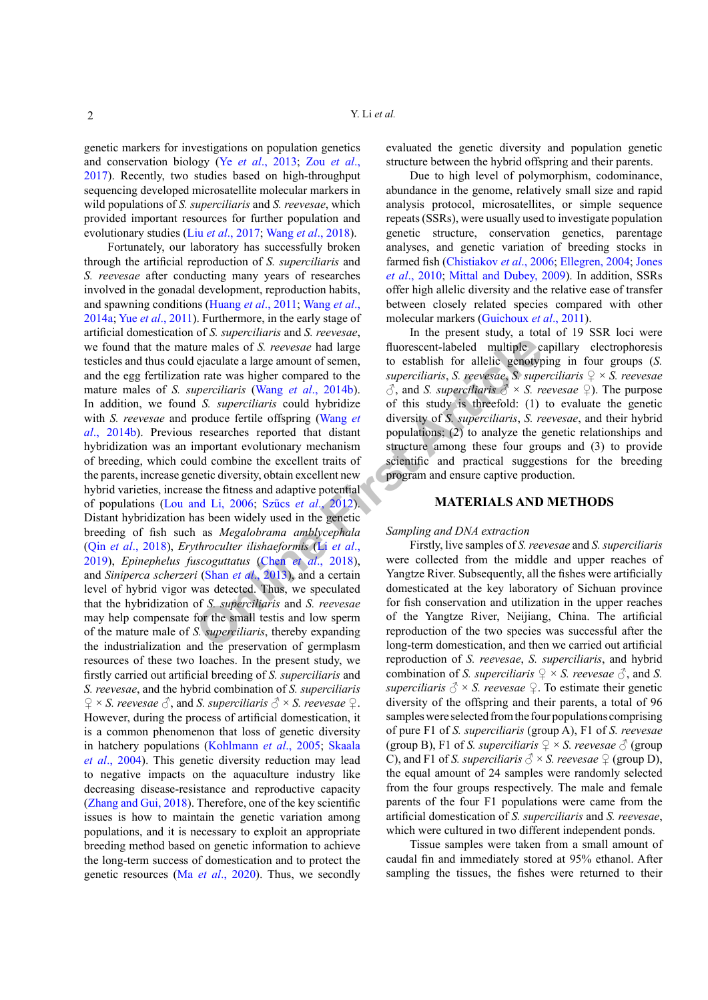genetic markers for investigations on population genetics and conservation biology (Ye *et al*[., 2013](#page-9-5); Zou *[et al](#page-10-0)*., [2017\)](#page-10-0). Recently, two studies based on high-throughput sequencing developed microsatellite molecular markers in wild populations of *S. superciliaris* and *S. reevesae*, which provided important resources for further population and evolutionary studies (Liu *et al*[., 2017](#page-8-2); Wang *et al*[., 2018](#page-9-6)).

**Example10**<br> **ON** The strength article and the strength article of S. reeverate had large<br> **Phonon article** are any interest article and the supercu[li](#page-9-11)aris, S. reeverate, S. superculiaris (Wang et al., 2014b).  $\beta$ , and S Fortunately, our laboratory has successfully broken through the artificial reproduction of *S. superciliaris* and *S. reevesae* after conducting many years of researches involved in the gonadal development, reproduction habits, and spawning conditions [\(Huang](#page-8-3) *et al*., 2011; [Wang](#page-9-7) *et al*., [2014a](#page-9-7); Yue *et al*[., 2011](#page-9-8)). Furthermore, in the early stage of artificial domestication of *S. superciliaris* and *S. reevesae*, we found that the mature males of *S. reevesae* had large testicles and thus could ejaculate a large amount of semen, and the egg fertilization rate was higher compared to the mature males of *S. superciliaris* (Wang *et al*., 2014b). In addition, we found *S. superciliaris* could hybridize with *S. reevesae* and produce fertile offspring (Wang *et al*[., 2014b](#page-9-9)). Previous researches reported that distant hybridization was an important evolutionary mechanism of breeding, which could combine the excellent traits of the parents, increase genetic diversity, obtain excellent new hybrid varieties, increase the fitness and adaptive potential of populations ([Lou and Li, 2006](#page-8-4); Szűcs *et al*., 2012). Distant hybridization has been widely used in the genetic breeding of fish such as *Megalobrama amblycephala* (Qin *et al*[., 2018](#page-9-10)), *Erythroculter ilishaeformis* (Li *et al*., [2019](#page-8-5)), *Epinephelus fuscoguttatus* (Chen *et al*., 2018), and *Siniperca scherzeri* (Shan *et al*., 2013), and a certain level of hybrid vigor was detected. Thus, we speculated that the hybridization of *S. superciliaris* and *S. reevesae* may help compensate for the small testis and low sperm of the mature male of *S. superciliaris*, thereby expanding the industrialization and the preservation of germplasm resources of these two loaches. In the present study, we firstly carried out artificial breeding of *S. superciliaris* and *S. reevesae*, and the hybrid combination of *S. superciliaris*  $\mathcal{Q} \times S$ . reevesae  $\mathcal{S}$ , and *S. superciliaris*  $\mathcal{S} \times S$ . reevesae  $\mathcal{Q}$ . However, during the process of artificial domestication, it is a common phenomenon that loss of genetic diversity in hatchery populations (Kohlmann *et al*., 2005; Skaala *et al*., 2004). This genetic diversity reduction may lead to negative impacts on the aquaculture industry like decreasing disease-resistance and reproductive capacity ([Zhang and Gui, 2018\)](#page-9-12). Therefore, one of the key scientific issues is how to maintain the genetic variation among populations, and it is necessary to exploit an appropriate breeding method based on genetic information to achieve the long-term success of domestication and to protect the genetic resources (Ma *et al*[., 2020](#page-8-7)). Thus, we secondly

evaluated the genetic diversity and population genetic structure between the hybrid offspring and their parents.

Due to high level of polymorphism, codominance, abundance in the genome, relatively small size and rapid analysis protocol, microsatellites, or simple sequence repeats (SSRs), were usually used to investigate population genetic structure, conservation genetics, parentage analyses, and genetic variation of breeding stocks in farmed fish ([Chistiakov](#page-8-8) *et al*., 2006; [Ellegren, 2004](#page-8-9); [Jones](#page-8-10) *et al*[., 2010](#page-8-10); [Mittal and Dubey, 2009\)](#page-8-11). In addition, SSRs offer high allelic diversity and the relative ease of transfer between closely related species compared with other molecular markers (Guichoux *et al*., 2011).

In the present study, a total of 19 SSR loci were fluorescent-labeled multiple capillary electrophoresis to establish for allelic genotyping in four groups (*S. superciliaris*, *S. reevesae*, *S. superciliaris* ♀ × *S. reevesae*  $\Diamond$ , and *S. superciliaris*  $\Diamond$  × *S. reevesae*  $\Diamond$ ). The purpose of this study is threefold: (1) to evaluate the genetic diversity of *S. superciliaris*, *S. reevesae*, and their hybrid populations; (2) to analyze the genetic relationships and structure among these four groups and (3) to provide scientific and practical suggestions for the breeding program and ensure captive production.

#### **MATERIALS AND METHODS**

#### *Sampling and DNA extraction*

Firstly, live samples of *S. reevesae* and *S. superciliaris*  were collected from the middle and upper reaches of Yangtze River. Subsequently, all the fishes were artificially domesticated at the key laboratory of Sichuan province for fish conservation and utilization in the upper reaches of the Yangtze River, Neijiang, China. The artificial reproduction of the two species was successful after the long-term domestication, and then we carried out artificial reproduction of *S. reevesae*, *S. superciliaris*, and hybrid combination of *S. superciliaris*  $\varphi \times S$ *. reevesae*  $\varphi$ *,* and *S. superciliaris*  $\delta \times S$ *. reevesae*  $\Omega$ *. To estimate their genetic* diversity of the offspring and their parents, a total of 96 samples were selected from the four populations comprising of pure F1 of *S. superciliaris* (group A), F1 of *S. reevesae* (group B), F1 of *S. superciliaris*  $\mathcal{Q} \times S$ *. reevesae*  $\mathcal{O}$  (group C), and F1 of *S. superciliaris*  $\partial \times S$ *. reevesae*  $\partial$  (group D), the equal amount of 24 samples were randomly selected from the four groups respectively. The male and female parents of the four F1 populations were came from the artificial domestication of *S. superciliaris* and *S. reevesae*, which were cultured in two different independent ponds.

Tissue samples were taken from a small amount of caudal fin and immediately stored at 95% ethanol. After sampling the tissues, the fishes were returned to their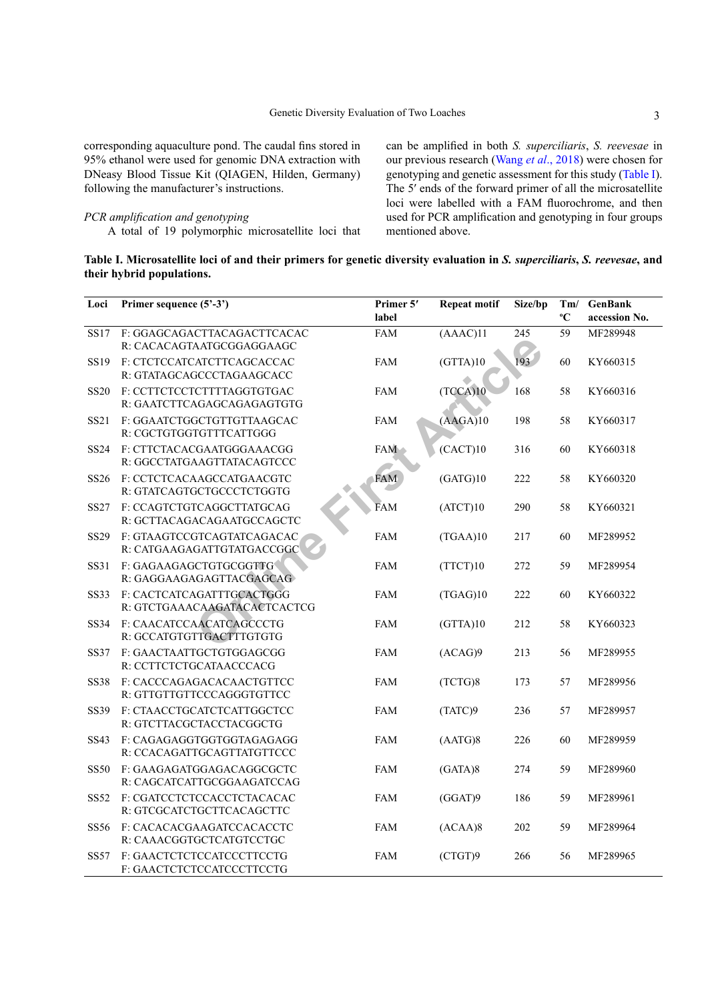corresponding aquaculture pond. The caudal fins stored in 95% ethanol were used for genomic DNA extraction with DNeasy Blood Tissue Kit (QIAGEN, Hilden, Germany) following the manufacturer's instructions.

# *PCR amplification and genotyping*

A total of 19 polymorphic microsatellite loci that

can be amplified in both *S. superciliaris*, *S. reevesae* in our previous research (Wang *et al*[., 2018](#page-9-6)) were chosen for genotyping and genetic assessment for this study ([Table I](#page-2-0)). The 5′ ends of the forward primer of all the microsatellite loci were labelled with a FAM fluorochrome, and then used for PCR amplification and genotyping in four groups mentioned above.

<span id="page-2-0"></span>

| Table I. Microsatellite loci of and their primers for genetic diversity evaluation in S. superciliaris, S. reevesae, and |  |  |
|--------------------------------------------------------------------------------------------------------------------------|--|--|
| their hybrid populations.                                                                                                |  |  |

| Loci        | Primer sequence (5'-3')                                   | Primer 5'<br>label | <b>Repeat motif</b> | Size/bp | °€ | Tm/ GenBank<br>accession No. |
|-------------|-----------------------------------------------------------|--------------------|---------------------|---------|----|------------------------------|
| SS17        | F: GGAGCAGACTTACAGACTTCACAC<br>R: CACACAGTAATGCGGAGGAAGC  | <b>FAM</b>         | (AAAC)11            | 245     | 59 | MF289948                     |
| <b>SS19</b> | F: CTCTCCATCATCTTCAGCACCAC<br>R: GTATAGCAGCCCTAGAAGCACC   | <b>FAM</b>         | (GTTA)10            | 193     | 60 | KY660315                     |
| <b>SS20</b> | F: CCTTCTCCTCTTTTAGGTGTGAC<br>R: GAATCTTCAGAGCAGAGAGTGTG  | <b>FAM</b>         | (TCCA)10            | 168     | 58 | KY660316                     |
| SS21        | F: GGAATCTGGCTGTTGTTAAGCAC<br>R: CGCTGTGGTGTTTCATTGGG     | <b>FAM</b>         | (AAGA)10            | 198     | 58 | KY660317                     |
| <b>SS24</b> | F: CTTCTACACGAATGGGAAACGG<br>R: GGCCTATGAAGTTATACAGTCCC   | <b>FAM</b>         | (CACT)10            | 316     | 60 | KY660318                     |
| <b>SS26</b> | F: CCTCTCACAAGCCATGAACGTC<br>R: GTATCAGTGCTGCCCTCTGGTG    | <b>FAM</b>         | (GATG)10            | 222     | 58 | KY660320                     |
| <b>SS27</b> | F: CCAGTCTGTCAGGCTTATGCAG<br>R: GCTTACAGACAGAATGCCAGCTC   | <b>FAM</b>         | (ATCT)10            | 290     | 58 | KY660321                     |
| SS29        | F: GTAAGTCCGTCAGTATCAGACAC<br>R: CATGAAGAGATTGTATGACCGGC  | FAM                | (TGAA)10            | 217     | 60 | MF289952                     |
| <b>SS31</b> | F: GAGAAGAGCTGTGCGGTTG<br>R: GAGGAAGAGAGTTACGAGCAG        | <b>FAM</b>         | (TTCT)10            | 272     | 59 | MF289954                     |
| <b>SS33</b> | F: CACTCATCAGATTTGCACTGGG<br>R: GTCTGAAACAAGATACACTCACTCG | <b>FAM</b>         | (TGAG)10            | 222     | 60 | KY660322                     |
| <b>SS34</b> | F: CAACATCCAACATCAGCCCTG<br>R: GCCATGTGTTGACTTTGTGTG      | <b>FAM</b>         | (GTTA)10            | 212     | 58 | KY660323                     |
| <b>SS37</b> | F: GAACTAATTGCTGTGGAGCGG<br>R: CCTTCTCTGCATAACCCACG       | <b>FAM</b>         | (ACAG)9             | 213     | 56 | MF289955                     |
| <b>SS38</b> | F: CACCCAGAGACACAACTGTTCC<br>R: GTTGTTGTTCCCAGGGTGTTCC    | <b>FAM</b>         | (TCTG)8             | 173     | 57 | MF289956                     |
| <b>SS39</b> | F: CTAACCTGCATCTCATTGGCTCC<br>R: GTCTTACGCTACCTACGGCTG    | <b>FAM</b>         | (TATC)9             | 236     | 57 | MF289957                     |
| SS43        | F: CAGAGAGGTGGTGGTAGAGAGG<br>R: CCACAGATTGCAGTTATGTTCCC   | <b>FAM</b>         | (AATG)8             | 226     | 60 | MF289959                     |
| <b>SS50</b> | F: GAAGAGATGGAGACAGGCGCTC<br>R: CAGCATCATTGCGGAAGATCCAG   | <b>FAM</b>         | (GATA)8             | 274     | 59 | MF289960                     |
| <b>SS52</b> | F: CGATCCTCTCCACCTCTACACAC<br>R: GTCGCATCTGCTTCACAGCTTC   | <b>FAM</b>         | (GGAT)9             | 186     | 59 | MF289961                     |
| <b>SS56</b> | F: CACACACGAAGATCCACACCTC<br>R: CAAACGGTGCTCATGTCCTGC     | <b>FAM</b>         | (ACAA)8             | 202     | 59 | MF289964                     |
| SS57        | F: GAACTCTCTCCATCCCTTCCTG<br>F: GAACTCTCTCCATCCCTTCCTG    | <b>FAM</b>         | (CTGT)9             | 266     | 56 | MF289965                     |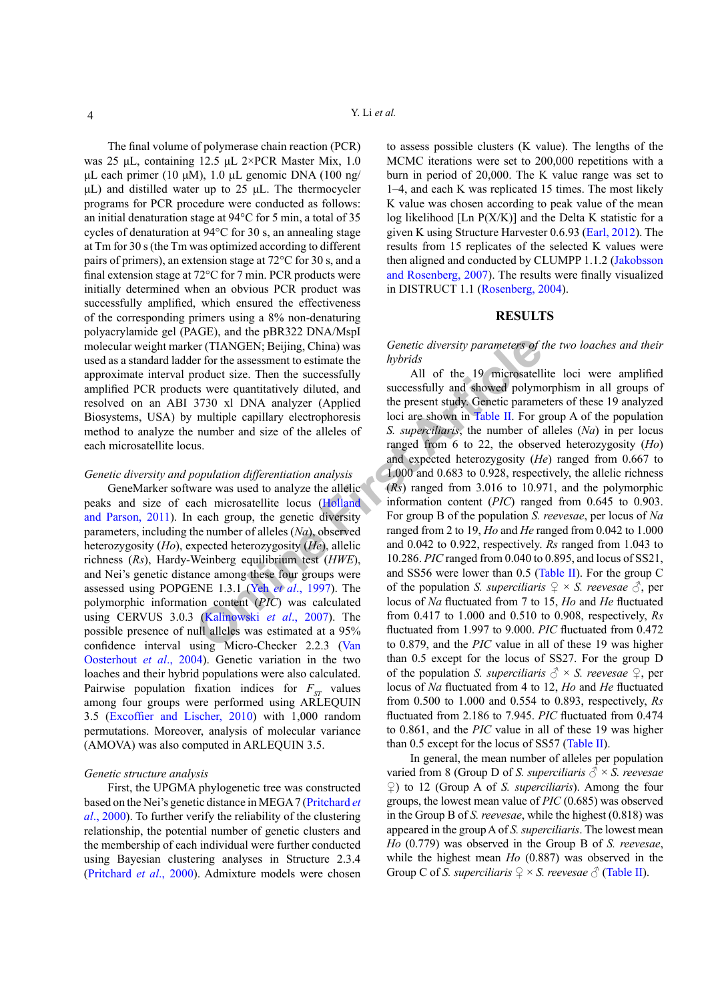The final volume of polymerase chain reaction (PCR) was 25 μL, containing 12.5 μL 2×PCR Master Mix, 1.0 μL each primer (10 μM), 1.0 μL genomic DNA (100 ng/ μL) and distilled water up to 25 μL. The thermocycler programs for PCR procedure were conducted as follows: an initial denaturation stage at 94°C for 5 min, a total of 35 cycles of denaturation at 94°C for 30 s, an annealing stage at Tm for 30 s (the Tm was optimized according to different pairs of primers), an extension stage at 72°C for 30 s, and a final extension stage at 72°C for 7 min. PCR products were initially determined when an obvious PCR product was successfully amplified, which ensured the effectiveness of the corresponding primers using a 8% non-denaturing polyacrylamide gel (PAGE), and the pBR322 DNA/MspI molecular weight marker (TIANGEN; Beijing, China) was used as a standard ladder for the assessment to estimate the approximate interval product size. Then the successfully amplified PCR products were quantitatively diluted, and resolved on an ABI 3730 xl DNA analyzer (Applied Biosystems, USA) by multiple capillary electrophoresis method to analyze the number and size of the alleles of each microsatellite locus.

### *Genetic diversity and population differentiation analysis*

GeneMarker software was used to analyze the allelic peaks and size of each microsatellite locus (Holland [and Parson, 2011](#page-8-12)). In each group, the genetic diversity parameters, including the number of alleles (*Na*), observed heterozygosity (*Ho*), expected heterozygosity (*He*), allelic richness (*Rs*), Hardy-Weinberg equilibrium test (*HWE*), and Nei's genetic distance among these four groups were assessed using POPGENE 1.3.1 (Yeh *et al*., 1997). The polymorphic information content (*PIC*) was calculated using CERVUS 3.0.3 (Kalinowski *et al*., 2007). The possible presence of null alleles was estimated at a 95% confidence interval using Micro-Checker 2.2.3 (Van [Oosterhout](#page-9-14) *et al*., 2004). Genetic variation in the two loaches and their hybrid populations were also calculated. Pairwise population fixation indices for  $F_{ST}$  values among four groups were performed using ARLEQUIN 3.5 [\(Excoffier and Lischer, 2010\)](#page-8-14) with 1,000 random permutations. Moreover, analysis of molecular variance (AMOVA) was also computed in ARLEQUIN 3.5.

#### *Genetic structure analysis*

First, the UPGMA phylogenetic tree was constructed based on the Nei's genetic distance in MEGA 7 ([Pritchard](#page-9-15) *et al*[., 2000\)](#page-9-15). To further verify the reliability of the clustering relationship, the potential number of genetic clusters and the membership of each individual were further conducted using Bayesian clustering analyses in Structure 2.3.4 [\(Pritchard](#page-9-15) *et al*., 2000). Admixture models were chosen to assess possible clusters (K value). The lengths of the MCMC iterations were set to 200,000 repetitions with a burn in period of 20,000. The K value range was set to 1–4, and each K was replicated 15 times. The most likely K value was chosen according to peak value of the mean log likelihood [Ln  $P(X/K)$ ] and the Delta K statistic for a given K using Structure Harvester 0.6.93 [\(Earl, 2012](#page-8-15)). The results from 15 replicates of the selected K values were then aligned and conducted by CLUMPP 1.1.2 ([Jakobsson](#page-8-16)  [and Rosenberg, 2007](#page-8-16)). The results were finally visualized in DISTRUCT 1.1 ([Rosenberg, 2004](#page-9-16)).

#### **RESULTS**

# *Genetic diversity parameters of the two loaches and their hybrids*

**EXECUTE:** THANGEN; Beijing, China) was<br> **S** *Gene[t](#page-4-0)ic diversity parameters of t* for the assessment to estimate the *hybrids*<br> **ON** and successfully and successfully and showed polymontary diluted, and successfully and sh All of the 19 microsatellite loci were amplified successfully and showed polymorphism in all groups of the present study. Genetic parameters of these 19 analyzed loci are shown in Table II. For group A of the population *S. superciliaris*, the number of alleles (*Na*) in per locus ranged from 6 to 22, the observed heterozygosity (*Ho*) and expected heterozygosity (*He*) ranged from 0.667 to 1.000 and 0.683 to 0.928, respectively, the allelic richness (*Rs*) ranged from 3.016 to 10.971, and the polymorphic information content (*PIC*) ranged from 0.645 to 0.903. For group B of the population *S. reevesae*, per locus of *Na*  ranged from 2 to 19, *Ho* and *He* ranged from 0.042 to 1.000 and 0.042 to 0.922, respectively. *Rs* ranged from 1.043 to 10.286. *PIC* ranged from 0.040 to 0.895, and locus of SS21, and SS56 were lower than 0.5 [\(Table II](#page-4-0)). For the group C of the population *S. superciliaris*  $\varphi \times S$ *. reevesae*  $\varphi$ *,* per locus of *Na* fluctuated from 7 to 15, *Ho* and *He* fluctuated from 0.417 to 1.000 and 0.510 to 0.908, respectively, *Rs* fluctuated from 1.997 to 9.000. *PIC* fluctuated from 0.472 to 0.879, and the *PIC* value in all of these 19 was higher than 0.5 except for the locus of SS27. For the group D of the population *S. superciliaris*  $\partial^2 \times S$ . *reevesae*  $\Omega$ , per locus of *Na* fluctuated from 4 to 12, *Ho* and *He* fluctuated from 0.500 to 1.000 and 0.554 to 0.893, respectively, *Rs* fluctuated from 2.186 to 7.945. *PIC* fluctuated from 0.474 to 0.861, and the *PIC* value in all of these 19 was higher than 0.5 except for the locus of SS57 ([Table II](#page-4-0)).

> In general, the mean number of alleles per population varied from 8 (Group D of *S. superciliaris*  $\delta \times S$ *. reevesae* ♀) to 12 (Group A of *S. superciliaris*). Among the four groups, the lowest mean value of *PIC* (0.685) was observed in the Group B of *S. reevesae*, while the highest (0.818) was appeared in the group A of *S. superciliaris*. The lowest mean *Ho* (0.779) was observed in the Group B of *S. reevesae*, while the highest mean *Ho* (0.887) was observed in the Group C of *S. superciliaris*  $\mathcal{Q} \times S$ *. reevesae*  $\mathcal{O}$  ([Table II](#page-4-0)).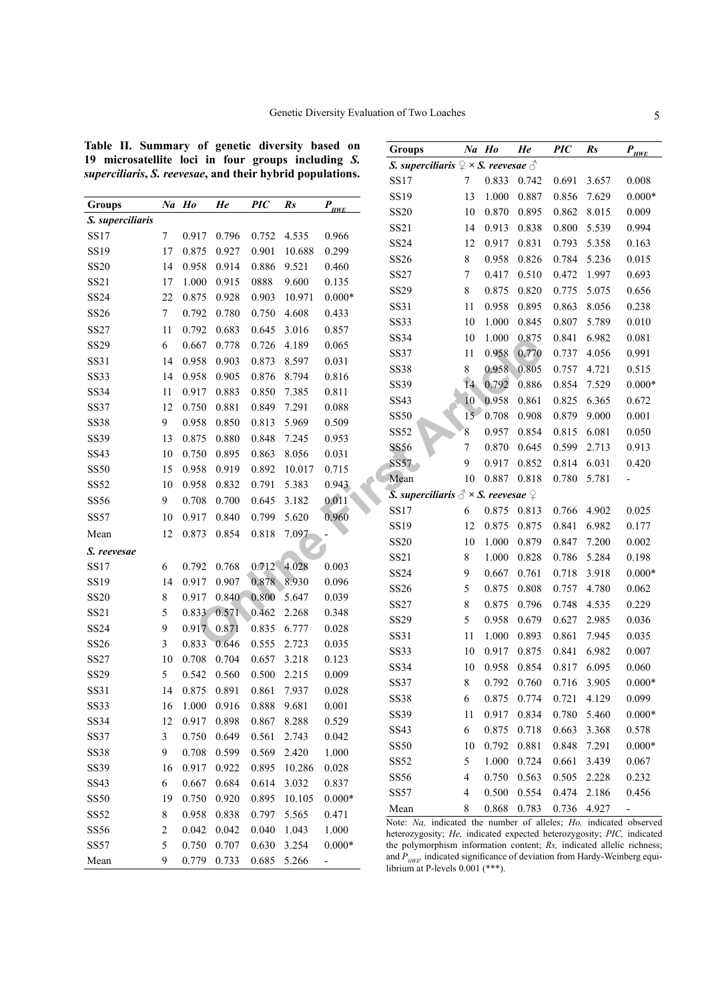<span id="page-4-0"></span>**Table II. Summary of genetic diversity based on 19 microsatellite loci in four groups including** *S. superciliaris***,** *S. reevesae***, and their hybrid populations.**

|                  |        |       |       |            |             |                       | SS19        | 13          | 1.000                                                               |
|------------------|--------|-------|-------|------------|-------------|-----------------------|-------------|-------------|---------------------------------------------------------------------|
| <b>Groups</b>    |        | Na Ho | He    | <b>PIC</b> | Rs          | $P_{\underline{HWE}}$ | <b>SS20</b> | 10          | 0.870                                                               |
| S. superciliaris |        |       |       |            |             |                       | SS21        | 14          | 0.913                                                               |
| <b>SS17</b>      | 7      | 0.917 | 0.796 | 0.752      | 4.535       | 0.966                 | <b>SS24</b> | 12          | 0.917                                                               |
| SS19             | 17     | 0.875 | 0.927 | 0.901      | 10.688      | 0.299                 |             |             |                                                                     |
| <b>SS20</b>      | 14     | 0.958 | 0.914 | 0.886      | 9.521       | 0.460                 | SS26        | 8           | 0.958                                                               |
| SS21             | 17     | 1.000 | 0.915 | 0888       | 9.600       | 0.135                 | <b>SS27</b> | 7           | 0.417                                                               |
| SS24             | 22     | 0.875 | 0.928 | 0.903      | 10.971      | $0.000*$              | SS29        | 8           | 0.875                                                               |
| SS26             | $\tau$ | 0.792 | 0.780 | 0.750      | 4.608       | 0.433                 | SS31        | 11          | 0.958                                                               |
| <b>SS27</b>      | 11     | 0.792 | 0.683 | 0.645      | 3.016       | 0.857                 | <b>SS33</b> | 10          | 1.000                                                               |
| SS29             | 6      | 0.667 | 0.778 | 0.726      | 4.189       | 0.065                 | <b>SS34</b> | 10          | 1.000                                                               |
| SS31             | 14     | 0.958 | 0.903 | 0.873      | 8.597       | 0.031                 | <b>SS37</b> | 11          | 0.958                                                               |
| <b>SS33</b>      | 14     | 0.958 | 0.905 | 0.876      | 8.794       | 0.816                 | <b>SS38</b> | $\,$ 8 $\,$ | 0.958 0.805                                                         |
| SS34             | 11     | 0.917 | 0.883 | 0.850      | 7.385       | 0.811                 | SS39        | 14          | 0.792                                                               |
| <b>SS37</b>      | 12     | 0.750 | 0.881 | 0.849      | 7.291       | 0.088                 | SS43        | 10          | 0.958                                                               |
| <b>SS38</b>      | 9      | 0.958 | 0.850 | 0.813      | 5.969       | 0.509                 | <b>SS50</b> | 15          | 0.708                                                               |
| SS39             | 13     | 0.875 | 0.880 | 0.848      | 7.245       | 0.953                 | <b>SS52</b> | 8           | 0.957                                                               |
| SS43             | 10     | 0.750 | 0.895 | 0.863      | 8.056       | 0.031                 | <b>SS56</b> | 7           | 0.870                                                               |
| <b>SS50</b>      | 15     | 0.958 | 0.919 | 0.892      | 10.017      | 0.715                 | <b>SS57</b> | 9           | 0.917                                                               |
| <b>SS52</b>      | 10     | 0.958 | 0.832 | 0.791      | 5.383       | 0.943                 | Mean        | 10          | 0.887                                                               |
| <b>SS56</b>      | 9      | 0.708 | 0.700 | 0.645      | 3.182       | 0.011                 |             |             | <b>S.</b> superciliaris $\partial^2 \times S$ . reevesae $\partial$ |
| <b>SS57</b>      | 10     | 0.917 | 0.840 | 0.799      | 5.620       | 0.960                 | <b>SS17</b> | 6           | 0.875<br>0.813                                                      |
| Mean             | 12     | 0.873 | 0.854 | 0.818      | 7.097       |                       | SS19        | 12          | 0.875                                                               |
|                  |        |       |       |            |             |                       | <b>SS20</b> | 10          | 1.000                                                               |
| S. reevesae      |        |       |       |            |             |                       | SS21        | 8           | 1.000                                                               |
| <b>SS17</b>      | 6      | 0.792 | 0.768 |            | 0.712 4.028 | 0.003                 | SS24        | 9           | 0.667                                                               |
| SS19             | 14     | 0.917 | 0.907 | 0.878      | 8.930       | 0.096                 | SS26        | 5           | 0.875                                                               |
| <b>SS20</b>      | 8      | 0.917 | 0.840 | 0.800      | 5.647       | 0.039                 | SS27        | 8           | 0.875                                                               |
| SS21             | 5      | 0.833 | 0.571 | 0.462      | 2.268       | 0.348                 | SS29        | 5           | 0.958                                                               |
| SS24             | 9      | 0.917 | 0.871 | 0.835      | 6.777       | 0.028                 | SS31        | 11          | 1.000                                                               |
| SS26             | 3      | 0.833 | 0.646 | 0.555      | 2.723       | 0.035                 | <b>SS33</b> | 10          | 0.917                                                               |
| SS27             | 10     | 0.708 | 0.704 | 0.657      | 3.218       | 0.123                 | SS34        | 10          | 0.958                                                               |
| SS29             | 5      | 0.542 | 0.560 | 0.500      | 2.215       | 0.009                 | <b>SS37</b> | 8           | 0.792                                                               |
| SS31             | 14     | 0.875 | 0.891 | 0.861      | 7.937       | 0.028                 | <b>SS38</b> | 6           | 0.875                                                               |
| <b>SS33</b>      | 16     | 1.000 | 0.916 | 0.888      | 9.681       | 0.001                 | <b>SS39</b> | 11          | 0.917                                                               |
| <b>SS34</b>      | 12     | 0.917 | 0.898 | 0.867      | 8.288       | 0.529                 | SS43        | 6           | 0.875                                                               |
| <b>SS37</b>      | 3      | 0.750 | 0.649 | 0.561      | 2.743       | 0.042                 | <b>SS50</b> | 10          | 0.792                                                               |
| <b>SS38</b>      | 9      | 0.708 | 0.599 | 0.569      | 2.420       | 1.000                 | SS52        | 5           | 1.000                                                               |
| <b>SS39</b>      | 16     | 0.917 | 0.922 | 0.895      | 10.286      | 0.028                 | SS56        | 4           | 0.750                                                               |
| SS43             | 6      | 0.667 | 0.684 | 0.614      | 3.032       | 0.837                 | <b>SS57</b> | 4           | 0.500                                                               |
| <b>SS50</b>      | 19     | 0.750 | 0.920 | 0.895      | 10.105      | $0.000*$              |             |             |                                                                     |
| <b>SS52</b>      | 8      | 0.958 | 0.838 | 0.797      | 5.565       | 0.471                 | Mean        | 8           | 0.868<br>Note: Na, indicated the number of all                      |
| SS56             | 2      | 0.042 | 0.042 | 0.040      | 1.043       | 1.000                 |             |             | heterozygosity; He, indicated expected                              |
| <b>SS57</b>      | 5      | 0.750 | 0.707 | 0.630      | 3.254       | $0.000*$              |             |             | the polymorphism information content;                               |
| Mean             | 9      | 0.779 | 0.733 | 0.685      | 5.266       |                       |             |             | and $P_{HWE'}$ indicated significance of deviati                    |

| Groups                                                                          |                  | Na Ho | He    | <b>PIC</b> | Rs    | $P_{HWE}$ |
|---------------------------------------------------------------------------------|------------------|-------|-------|------------|-------|-----------|
| S. superciliaris $\mathcal{Q} \times S$ . reevesae $\mathcal{S}$                |                  |       |       |            |       |           |
| SS17                                                                            | 7                | 0.833 | 0.742 | 0.691      | 3.657 | 0.008     |
| SS19                                                                            | 13               | 1.000 | 0.887 | 0.856      | 7.629 | $0.000*$  |
| <b>SS20</b>                                                                     | 10               | 0.870 | 0.895 | 0.862      | 8.015 | 0.009     |
| SS21                                                                            | 14               | 0.913 | 0.838 | 0.800      | 5.539 | 0.994     |
| SS24                                                                            | 12               | 0.917 | 0.831 | 0.793      | 5.358 | 0.163     |
| <b>SS26</b>                                                                     | 8                | 0.958 | 0.826 | 0.784      | 5.236 | 0.015     |
| SS27                                                                            | $\boldsymbol{7}$ | 0.417 | 0.510 | 0.472      | 1.997 | 0.693     |
| SS29                                                                            | 8                | 0.875 | 0.820 | 0.775      | 5.075 | 0.656     |
| SS31                                                                            | 11               | 0.958 | 0.895 | 0.863      | 8.056 | 0.238     |
| <b>SS33</b>                                                                     | 10               | 1.000 | 0.845 | 0.807      | 5.789 | 0.010     |
| SS34                                                                            | 10               | 1.000 | 0.875 | 0.841      | 6.982 | 0.081     |
| SS37                                                                            | 11               | 0.958 | 0.770 | 0.737      | 4.056 | 0.991     |
| <b>SS38</b>                                                                     | 8                | 0.958 | 0.805 | 0.757      | 4.721 | 0.515     |
| SS39                                                                            | $\overline{14}$  | 0.792 | 0.886 | 0.854      | 7.529 | $0.000*$  |
| SS43                                                                            | 10               | 0.958 | 0.861 | 0.825      | 6.365 | 0.672     |
| <b>SS50</b>                                                                     | 15 <sup>5</sup>  | 0.708 | 0.908 | 0.879      | 9.000 | 0.001     |
| SS52                                                                            | 8                | 0.957 | 0.854 | 0.815      | 6.081 | 0.050     |
| SS56                                                                            | $\sqrt{ }$       | 0.870 | 0.645 | 0.599      | 2.713 | 0.913     |
| <b>SS57</b>                                                                     | 9                | 0.917 | 0.852 | 0.814      | 6.031 | 0.420     |
| Mean                                                                            | 10               | 0.887 | 0.818 | 0.780      | 5.781 |           |
| $\overline{\mathbf{S}}$ . superciliaris $\triangle$ × S. reevesae $\mathcal{Q}$ |                  |       |       |            |       |           |
| SS17                                                                            | 6                | 0.875 | 0.813 | 0.766      | 4.902 | 0.025     |
| SS19                                                                            | 12               | 0.875 | 0.875 | 0.841      | 6.982 | 0.177     |
| <b>SS20</b>                                                                     | 10               | 1.000 | 0.879 | 0.847      | 7.200 | 0.002     |
| SS21                                                                            | 8                | 1.000 | 0.828 | 0.786      | 5.284 | 0.198     |
| SS24                                                                            | 9                | 0.667 | 0.761 | 0.718      | 3.918 | $0.000*$  |
| SS26                                                                            | 5                | 0.875 | 0.808 | 0.757      | 4.780 | 0.062     |
| <b>SS27</b>                                                                     | 8                | 0.875 | 0.796 | 0.748      | 4.535 | 0.229     |
| SS29                                                                            | 5                | 0.958 | 0.679 | 0.627      | 2.985 | 0.036     |
| SS31                                                                            | 11               | 1.000 | 0.893 | 0.861      | 7.945 | 0.035     |
| <b>SS33</b>                                                                     | 10               | 0.917 | 0.875 | 0.841      | 6.982 | 0.007     |
| SS34                                                                            | 10               | 0.958 | 0.854 | 0.817      | 6.095 | 0.060     |
| SS37                                                                            | 8                | 0.792 | 0.760 | 0.716      | 3.905 | $0.000*$  |
| <b>SS38</b>                                                                     | 6                | 0.875 | 0.774 | 0.721      | 4.129 | 0.099     |
| SS39                                                                            | 11               | 0.917 | 0.834 | 0.780      | 5.460 | $0.000*$  |
| SS43                                                                            | 6                | 0.875 | 0.718 | 0.663      | 3.368 | 0.578     |
| <b>SS50</b>                                                                     | 10               | 0.792 | 0.881 | 0.848      | 7.291 | $0.000*$  |
| SS52                                                                            | 5                | 1.000 | 0.724 | 0.661      | 3.439 | 0.067     |
| <b>SS56</b>                                                                     | $\overline{4}$   | 0.750 | 0.563 | 0.505      | 2.228 | 0.232     |
| SS57                                                                            | 4                | 0.500 | 0.554 | 0.474      | 2.186 | 0.456     |
| Mean                                                                            | 8                | 0.868 | 0.783 | 0.736      | 4.927 |           |

Na, indicated the number of alleles; *Ho*, indicated observed heterozygosity; *He,* indicated expected heterozygosity; *PIC,* indicated ymorphism information content; *Rs*, indicated allelic richness; and *P<sub>HWE</sub>*, indicated significance of deviation from Hardy-Weinberg equi-<br>librium at P-levels 0.001 (\*\*\*).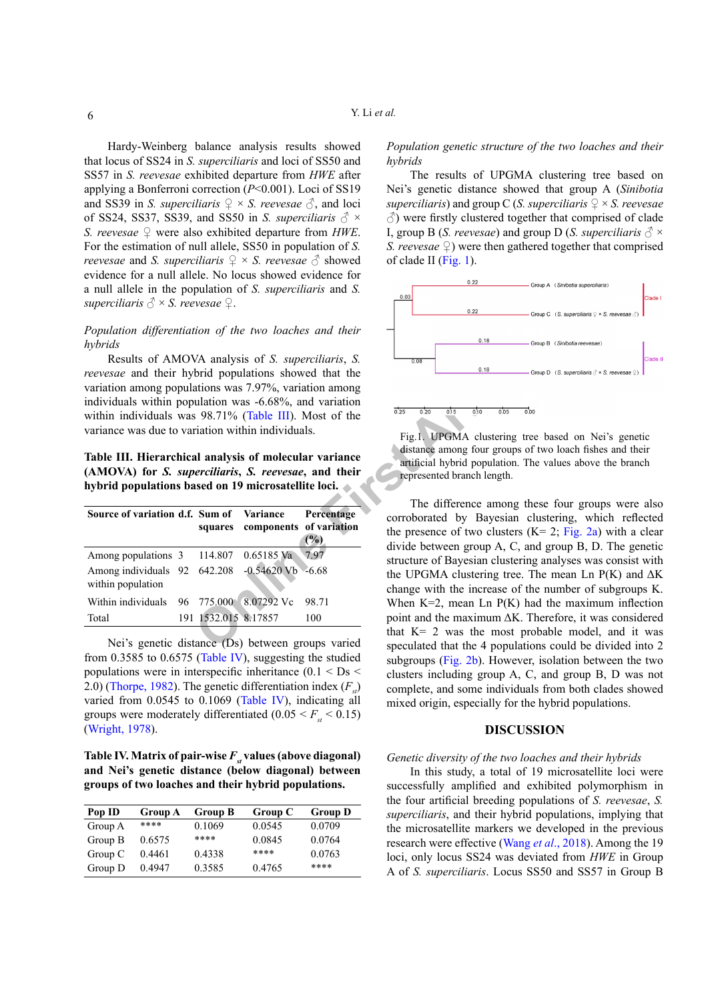Hardy-Weinberg balance analysis results showed that locus of SS24 in *S. superciliaris* and loci of SS50 and SS57 in *S. reevesae* exhibited departure from *HWE* after applying a Bonferroni correction (*P*<0.001). Loci of SS19 and SS39 in *S. superciliaris*  $\mathcal{Q} \times S$ *. reevesae*  $\mathcal{O}_S$ *,* and loci of SS24, SS37, SS39, and SS50 in *S. superciliaris*  $\delta$  × *S. reevesae* ♀ were also exhibited departure from *HWE*. For the estimation of null allele, SS50 in population of *S. reevesae* and *S. superciliaris*  $\mathcal{Q} \times S$ *. reevesae*  $\mathcal{J}$  showed evidence for a null allele. No locus showed evidence for a null allele in the population of *S. superciliaris* and *S. superciliaris*  $\delta \times S$ *. reevesae*  $\varphi$ *.* 

# *Population differentiation of the two loaches and their hybrids*

Results of AMOVA analysis of *S. superciliaris*, *S. reevesae* and their hybrid populations showed that the variation among populations was 7.97%, variation among individuals within population was -6.68%, and variation within individuals was 98.71% (Table III). Most of the variance was due to variation within individuals.

<span id="page-5-0"></span>**Table III. Hierarchical analysis of molecular variance (AMOVA) for** *S. superciliaris***,** *S. reevesae***, and their hybrid populations based on 19 microsatellite loci.**

| Source of variation d.f. Sum of Variance Percentage                 |                      | squares components of variation | (%)   |
|---------------------------------------------------------------------|----------------------|---------------------------------|-------|
| Among populations 3 114.807 0.65185 Va                              |                      |                                 | 797   |
| Among individuals 92 642.208 -0.54620 Vb -6.68<br>within population |                      |                                 |       |
| Within individuals 96 775.000 8.07292 Vc                            |                      |                                 | 98.71 |
| Total                                                               | 191 1532.015 8.17857 |                                 | 100   |

Nei's genetic distance (Ds) between groups varied from 0.3585 to 0.6575 ([Table IV](#page-5-1)), suggesting the studied populations were in interspecific inheritance  $(0.1 <$  Ds  $<$ 2.0) [\(Thorpe, 1982](#page-9-17)). The genetic differentiation index  $(F)$ varied from 0.0545 to 0.1069 [\(Table IV](#page-5-1)), indicating all groups were moderately differentiated  $(0.05 \le F_{st} \le 0.15)$ ([Wright, 1978](#page-9-18)).

<span id="page-5-1"></span>Table IV. Matrix of pair-wise  $F_{st}$  values (above diagonal) **and Nei's genetic distance (below diagonal) between groups of two loaches and their hybrid populations.**

| Pop ID  | <b>Group A</b> | <b>Group B</b> | Group C | <b>Group D</b> |
|---------|----------------|----------------|---------|----------------|
| Group A | ****           | 0.1069         | 0.0545  | 0.0709         |
| Group B | 0.6575         | ****           | 0.0845  | 0.0764         |
| Group C | 0.4461         | 0.4338         | ****    | 0.0763         |
| Group D | 0.4947         | 0.3585         | 0.4765  | ****           |

# *Population genetic structure of the two loaches and their hybrids*

The results of UPGMA clustering tree based on Nei's genetic distance showed that group A (*Sinibotia superciliaris*) and group C (*S. superciliaris*  $\mathcal{Q} \times S$  *reevesae*  $\Diamond$ ) were firstly clustered together that comprised of clade I, group B (*S. reevesae*) and group D (*S. superciliaris*  $\delta \times$ *S. reevesae*  $\mathcal{Q}$ ) were then gathered together that comprised of clade II [\(Fig. 1](#page-5-2)).



<span id="page-5-2"></span>

VA analysis of *S. superciliaris*, *S.*<br>
brid populations showed that the<br>
ations was 7.97%, variation among<br>
ulation was -6.68%, and variation<br>
is 98.71% (Table III). Most of the<br>
rig. 1. UPGMA clustering tree<br>
distance The difference among these four groups were also corroborated by Bayesian clustering, which reflected the presence of two clusters  $(K= 2; Fig. 2a)$  $(K= 2; Fig. 2a)$  $(K= 2; Fig. 2a)$  with a clear divide between group A, C, and group B, D. The genetic structure of Bayesian clustering analyses was consist with the UPGMA clustering tree. The mean Ln  $P(K)$  and  $\Delta K$ change with the increase of the number of subgroups K. When  $K=2$ , mean Ln  $P(K)$  had the maximum inflection point and the maximum ΔK. Therefore, it was considered that  $K = 2$  was the most probable model, and it was speculated that the 4 populations could be divided into 2 subgroups (Fig.  $2b$ ). However, isolation between the two clusters including group A, C, and group B, D was not complete, and some individuals from both clades showed mixed origin, especially for the hybrid populations.

### **DISCUSSION**

#### *Genetic diversity of the two loaches and their hybrids*

In this study, a total of 19 microsatellite loci were successfully amplified and exhibited polymorphism in the four artificial breeding populations of *S. reevesae*, *S. superciliaris*, and their hybrid populations, implying that the microsatellite markers we developed in the previous research were effective (Wang *et al*[., 2018](#page-9-6)). Among the 19 loci, only locus SS24 was deviated from *HWE* in Group A of *S. superciliaris*. Locus SS50 and SS57 in Group B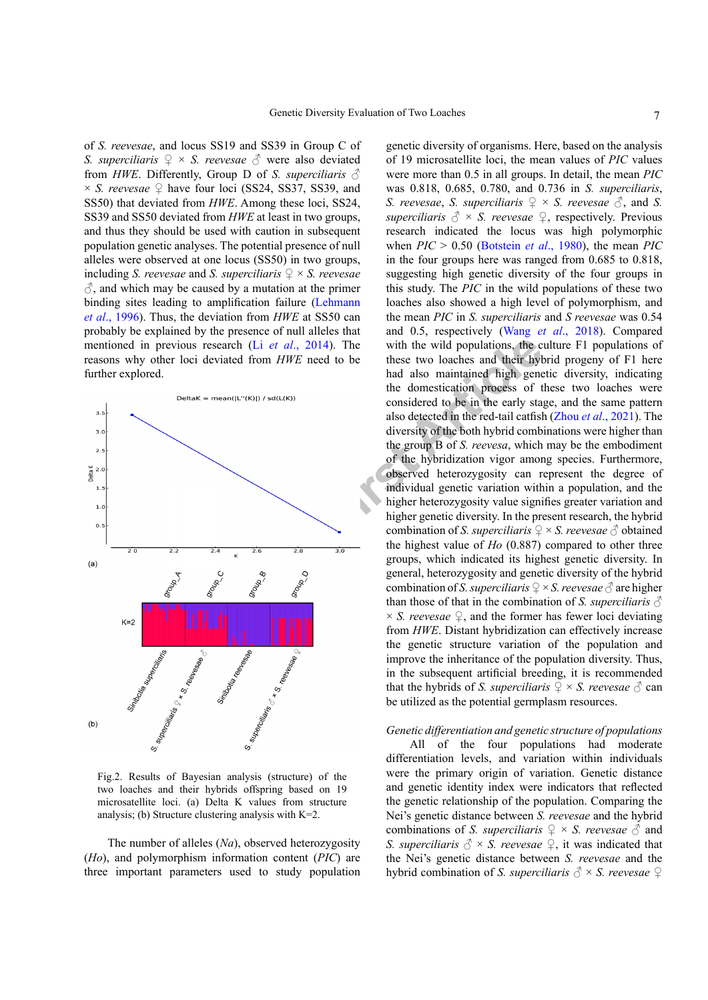of *S. reevesae*, and locus SS19 and SS39 in Group C of *S. superciliaris*  $\varphi \times S$ *. reevesae*  $\varphi$  were also deviated from *HWE*. Differently, Group D of *S. superciliaris*  $\delta$  $\times$  *S. reevesae*  $\varphi$  have four loci (SS24, SS37, SS39, and SS50) that deviated from *HWE*. Among these loci, SS24, SS39 and SS50 deviated from *HWE* at least in two groups, and thus they should be used with caution in subsequent population genetic analyses. The potential presence of null alleles were observed at one locus (SS50) in two groups, including *S. reevesae* and *S. superciliaris*  $\varphi \times S$ *. reevesae*  $\Diamond$ , and which may be caused by a mutation at the primer binding sites leading to amplification failure ([Lehmann](#page-8-17) *et al*[., 1996](#page-8-17)). Thus, the deviation from *HWE* at SS50 can probably be explained by the presence of null alleles that mentioned in previous research (Li *et al*., 2014). The reasons why other loci deviated from *HWE* need to be further explored.



<span id="page-6-0"></span>Fig.2. Results of Bayesian analysis (structure) of the two loaches and their hybrids offspring based on 19 microsatellite loci. (a) Delta K values from structure analysis; (b) Structure clustering analysis with  $K=2$ .

The number of alleles (*Na*), observed heterozygosity (*Ho*), and polymorphism information content (*PIC*) are three important parameters used to study population

**Example 19 and 19 and 19 and 19 and 19 and 19 and 19 and 19 and 19 and 19 and 19 and 19 and 19 and 19 and 19 and 19 and 19 and 19 and 19 and 19 and 19 and 19 and 19 and 19 and 19 and 19 and 19 and 19 and 19 and 19 and 19** genetic diversity of organisms. Here, based on the analysis of 19 microsatellite loci, the mean values of *PIC* values were more than 0.5 in all groups. In detail, the mean *PIC* was 0.818, 0.685, 0.780, and 0.736 in *S. superciliaris*, *S. reevesae, S. superciliaris*  $\mathcal{Q} \times S$ *. reevesae*  $\mathcal{Z}$ *, and S. superciliaris*  $\delta \times S$ . *reevesae*  $\Omega$ , *respectively. Previous* research indicated the locus was high polymorphic when *PIC* > 0.50 ([Botstein](#page-7-0) *et al*., 1980), the mean *PIC* in the four groups here was ranged from 0.685 to 0.818, suggesting high genetic diversity of the four groups in this study. The *PIC* in the wild populations of these two loaches also showed a high level of polymorphism, and the mean *PIC* in *S. superciliaris* and *S reevesae* was 0.54 and 0.5, respectively (Wang *et al*[., 2018](#page-9-6)). Compared with the wild populations, the culture F1 populations of these two loaches and their hybrid progeny of F1 here had also maintained high genetic diversity, indicating the domestication process of these two loaches were considered to be in the early stage, and the same pattern also detected in the red-tail catfish (Zhou *et al*[., 2021](#page-10-1)). The diversity of the both hybrid combinations were higher than the group B of *S. reevesa*, which may be the embodiment of the hybridization vigor among species. Furthermore, observed heterozygosity can represent the degree of individual genetic variation within a population, and the higher heterozygosity value signifies greater variation and higher genetic diversity. In the present research, the hybrid combination of *S. superciliaris*  $\mathcal{Q} \times S$ *. reevesae*  $\mathcal{J}$  obtained the highest value of *Ho* (0.887) compared to other three groups, which indicated its highest genetic diversity. In general, heterozygosity and genetic diversity of the hybrid combination of *S. superciliaris*  $\mathcal{Q} \times S$  *reevesae*  $\mathcal{O}$  are higher than those of that in the combination of *S. superciliaris*  $\delta$  $\times$  *S. reevesae*  $\mathcal{Q}$ , and the former has fewer loci deviating from *HWE*. Distant hybridization can effectively increase the genetic structure variation of the population and improve the inheritance of the population diversity. Thus, in the subsequent artificial breeding, it is recommended that the hybrids of *S. superciliaris*  $\mathcal{Q} \times S$ *. reevesae*  $\mathcal{Z}$  can be utilized as the potential germplasm resources.

# *Genetic differentiation and genetic structure of populations*

All of the four populations had moderate differentiation levels, and variation within individuals were the primary origin of variation. Genetic distance and genetic identity index were indicators that reflected the genetic relationship of the population. Comparing the Nei's genetic distance between *S. reevesae* and the hybrid combinations of *S. superciliaris*  $\mathcal{Q} \times S$ *. reevesae*  $\mathcal{O}$  and *S. superciliaris*  $\delta \times S$ *. reevesae*  $\varphi$ *, it was indicated that* the Nei's genetic distance between *S. reevesae* and the hybrid combination of *S. superciliaris*  $\Diamond$  × *S. reevesae*  $\Diamond$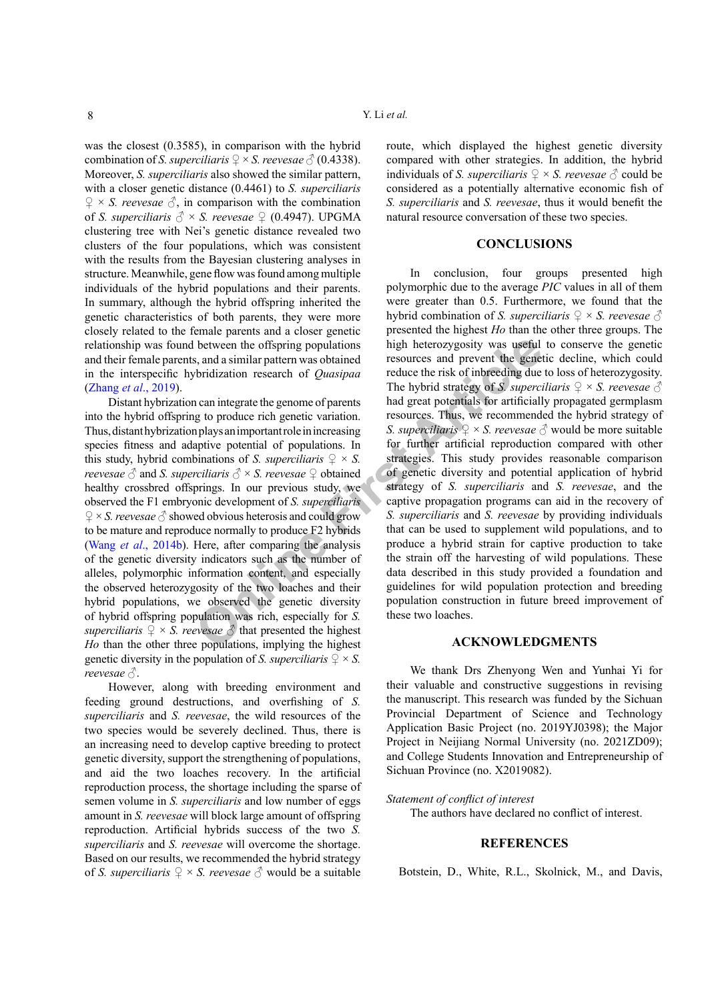was the closest (0.3585), in comparison with the hybrid combination of *S. superciliaris*  $\mathcal{Q} \times S$  *reevesae*  $\mathcal{O}(0.4338)$ *.* Moreover, *S. superciliaris* also showed the similar pattern, with a closer genetic distance (0.4461) to *S. superciliaris*  $\mathcal{Q} \times S$ . *reevesae*  $\mathcal{S}$ , in comparison with the combination of *S. superciliaris*  $\delta \times S$ *. reevesae*  $\Omega$  (0.4947). UPGMA clustering tree with Nei's genetic distance revealed two clusters of the four populations, which was consistent with the results from the Bayesian clustering analyses in structure. Meanwhile, gene flow was found among multiple individuals of the hybrid populations and their parents. In summary, although the hybrid offspring inherited the genetic characteristics of both parents, they were more closely related to the female parents and a closer genetic relationship was found between the offspring populations and their female parents, and a similar pattern was obtained in the interspecific hybridization research of *Quasipaa* ([Zhang](#page-9-19) *et al*., 2019).

Distant hybrization can integrate the genome of parents into the hybrid offspring to produce rich genetic variation. Thus, distant hybrization plays an important role in increasing species fitness and adaptive potential of populations. In this study, hybrid combinations of *S. superciliaris*  $\varphi \times S$ . *reevesae*  $\Diamond$  and *S. superciliaris*  $\Diamond$  × *S. reevesae*  $\Diamond$  obtained healthy crossbred offsprings. In our previous study, we observed the F1 embryonic development of *S. superciliaris*   $\mathcal{Q} \times S$ . *reevesae*  $\mathcal{O}$  showed obvious heterosis and could grow to be mature and reproduce normally to produce F2 hybrids (Wang *et al*[., 2014b](#page-9-9)). Here, after comparing the analysis of the genetic diversity indicators such as the number of alleles, polymorphic information content, and especially the observed heterozygosity of the two loaches and their hybrid populations, we observed the genetic diversity of hybrid offspring population was rich, especially for *S. superciliaris*  $\mathcal{Q} \times S$ *. reevesae*  $\mathcal{S}$  that presented the highest *Ho* than the other three populations, implying the highest genetic diversity in the population of *S. superciliaris*  $\mathcal{Q} \times S$ . *reevesae* ♂.

However, along with breeding environment and feeding ground destructions, and overfishing of *S. superciliaris* and *S. reevesae*, the wild resources of the two species would be severely declined. Thus, there is an increasing need to develop captive breeding to protect genetic diversity, support the strengthening of populations, and aid the two loaches recovery. In the artificial reproduction process, the shortage including the sparse of semen volume in *S. superciliaris* and low number of eggs amount in *S. reevesae* will block large amount of offspring reproduction. Artificial hybrids success of the two *S. superciliaris* and *S. reevesae* will overcome the shortage. Based on our results, we recommended the hybrid strategy of *S. superciliaris*  $\mathcal{Q} \times S$ *. reevesae*  $\mathcal{O}$  would be a suitable route, which displayed the highest genetic diversity compared with other strategies. In addition, the hybrid individuals of *S. superciliaris*  $\varphi \times S$ *. reevesae*  $\varphi$  could be considered as a potentially alternative economic fish of *S. superciliaris* and *S. reevesae*, thus it would benefit the natural resource conversation of these two species.

# **CONCLUSIONS**

between the offspring populations<br>
Solution in the and a similar pattern was obtained<br>
The hybrid is a similar pattern was obtained<br>
The hybrid strategy of *S*, superculates are the sixed of produce ich genetic variation. In conclusion, four groups presented high polymorphic due to the average *PIC* values in all of them were greater than 0.5. Furthermore, we found that the hybrid combination of *S. superciliaris*  $\varphi \times S$ *. reevesae*  $\varphi$ presented the highest *Ho* than the other three groups. The high heterozygosity was useful to conserve the genetic resources and prevent the genetic decline, which could reduce the risk of inbreeding due to loss of heterozygosity. The hybrid strategy of *S. superciliaris*  $\mathcal{Q} \times S$ *. reevesae*  $\mathcal{S}$ had great potentials for artificially propagated germplasm resources. Thus, we recommended the hybrid strategy of *S. superciliaris*  $\mathcal{Q} \times S$ . *reevesae*  $\mathcal{S}$  would be more suitable for further artificial reproduction compared with other strategies. This study provides reasonable comparison of genetic diversity and potential application of hybrid strategy of *S. superciliaris* and *S. reevesae*, and the captive propagation programs can aid in the recovery of *S. superciliaris* and *S. reevesae* by providing individuals that can be used to supplement wild populations, and to produce a hybrid strain for captive production to take the strain off the harvesting of wild populations. These data described in this study provided a foundation and guidelines for wild population protection and breeding population construction in future breed improvement of these two loaches.

# **ACKNOWLEDGMENTS**

We thank Drs Zhenyong Wen and Yunhai Yi for their valuable and constructive suggestions in revising the manuscript. This research was funded by the Sichuan Provincial Department of Science and Technology Application Basic Project (no. 2019YJ0398); the Major Project in Neijiang Normal University (no. 2021ZD09); and College Students Innovation and Entrepreneurship of Sichuan Province (no. X2019082).

#### *Statement of conflict of interest*

The authors have declared no conflict of interest.

# **REFERENCES**

<span id="page-7-0"></span>Botstein, D., White, R.L., Skolnick, M., and Davis,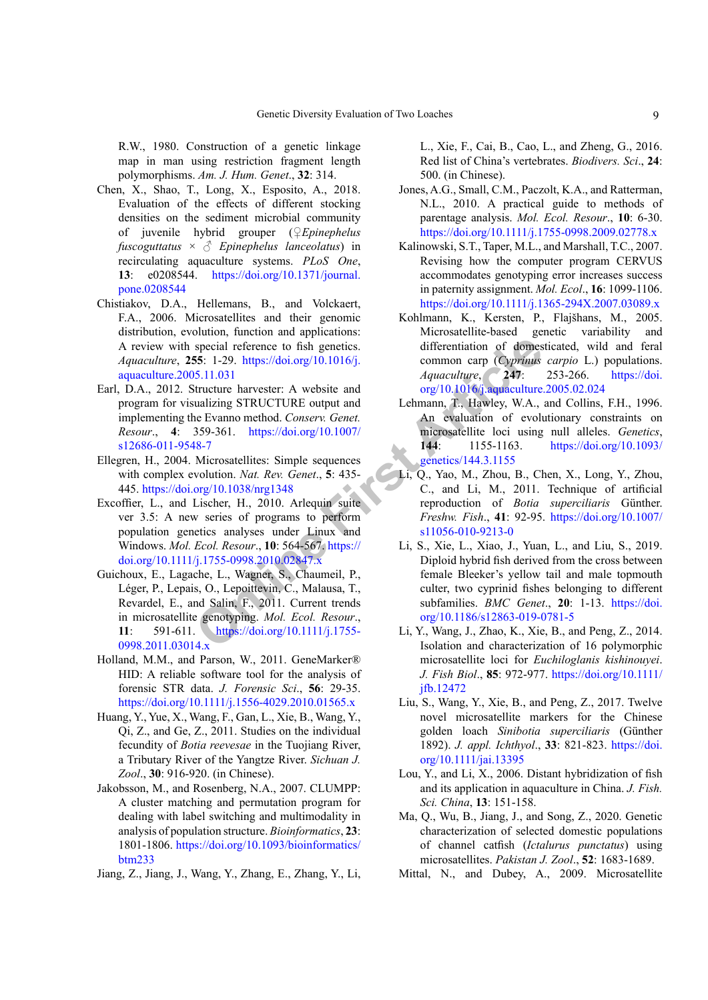R.W., 1980. Construction of a genetic linkage map in man using restriction fragment length polymorphisms. *Am. J. Hum. Genet*., **32**: 314.

- <span id="page-8-6"></span>Chen, X., Shao, T., Long, X., Esposito, A., 2018. Evaluation of the effects of different stocking densities on the sediment microbial community of juvenile hybrid grouper (♀*Epinephelus fuscoguttatus* × ♂ *Epinephelus lanceolatus*) in recirculating aquaculture systems. *PLoS One*, **13**: e0208544. [https://doi.org/10.1371/journal.](https://doi.org/10.1371/journal.pone.0208544) [pone.0208544](https://doi.org/10.1371/journal.pone.0208544)
- <span id="page-8-8"></span>Chistiakov, D.A., Hellemans, B., and Volckaert, F.A., 2006. Microsatellites and their genomic distribution, evolution, function and applications: A review with special reference to fish genetics. *Aquaculture*, **255**: 1-29. https://doi.org/10.1016/j. [aquaculture.2005.11.031](https://doi.org/10.1016/j.aquaculture.2005.11.031)
- <span id="page-8-15"></span>Earl, D.A., 2012. Structure harvester: A website and program for visualizing STRUCTURE output and implementing the Evanno method. *Conserv. Genet. Resour*., **4**: 359-361. https://doi.org/10.1007/ [s12686-011-9548-7](https://doi.org/10.1007/s12686-011-9548-7)
- <span id="page-8-9"></span>Ellegren, H., 2004. Microsatellites: Simple sequences with complex evolution. *Nat. Rev. Genet*., **5**: 435- 445. <https://doi.org/10.1038/nrg1348>
- <span id="page-8-14"></span>Excoffier, L., and Lischer, H., 2010. Arlequin suite ver 3.5: A new series of programs to perform population genetics analyses under Linux and Windows. *Mol. Ecol. Resour*., **10**: 564-567. https:// [doi.org/10.1111/j.1755-0998.2010.02847.x](https://doi.org/10.1111/j.1755-0998.2010.02847.x)
- Special referenc[e](https://doi.org/10.1111/j.1755-0998.2010.02847.x) to fish genetics.<br>
Special reference to fish genetics.<br>
Special reference to fish genetics.<br>
Special reference to fish genetics.<br>
Special reference to fish genetics.<br>
Intervalue and the common carp (Cypri Guichoux, E., Lagache, L., Wagner, S., Chaumeil, P., Léger, P., Lepais, O., Lepoittevin, C., Malausa, T., Revardel, E., and Salin, F., 2011. Current trends in microsatellite genotyping. *Mol. Ecol. Resour*., **11**: 591-611. https://doi.org/10.1111/j.1755- [0998.2011.03014.x](https://doi.org/10.1111/j.1755-0998.2011.03014.x)
- <span id="page-8-12"></span>Holland, M.M., and Parson, W., 2011. GeneMarker® HID: A reliable software tool for the analysis of forensic STR data. *J. Forensic Sci*., **56**: 29-35. <https://doi.org/10.1111/j.1556-4029.2010.01565.x>
- <span id="page-8-3"></span>Huang, Y., Yue, X., Wang, F., Gan, L., Xie, B., Wang, Y., Qi, Z., and Ge, Z., 2011. Studies on the individual fecundity of *Botia reevesae* in the Tuojiang River, a Tributary River of the Yangtze River. *Sichuan J. Zool*., **30**: 916-920. (in Chinese).
- <span id="page-8-16"></span>Jakobsson, M., and Rosenberg, N.A., 2007. CLUMPP: A cluster matching and permutation program for dealing with label switching and multimodality in analysis of population structure. *Bioinformatics*, **23**: 1801-1806. [https://doi.org/10.1093/bioinformatics/](https://doi.org/10.1093/bioinformatics/btm233) [btm233](https://doi.org/10.1093/bioinformatics/btm233)
- <span id="page-8-0"></span>Jiang, Z., Jiang, J., Wang, Y., Zhang, E., Zhang, Y., Li,

L., Xie, F., Cai, B., Cao, L., and Zheng, G., 2016. Red list of China's vertebrates. *Biodivers. Sci*., **24**: 500. (in Chinese).

- <span id="page-8-10"></span>Jones, A.G., Small, C.M., Paczolt, K.A., and Ratterman, N.L., 2010. A practical guide to methods of parentage analysis. *Mol. Ecol. Resour*., **10**: 6-30. <https://doi.org/10.1111/j.1755-0998.2009.02778.x>
- <span id="page-8-13"></span>Kalinowski, S.T., Taper, M.L., and Marshall, T.C., 2007. Revising how the computer program CERVUS accommodates genotyping error increases success in paternity assignment. *Mol. Ecol*., **16**: 1099-1106. <https://doi.org/10.1111/j.1365-294X.2007.03089.x>
- Kohlmann, K., Kersten, P., Flajšhans, M., 2005. Microsatellite-based genetic variability and differentiation of domesticated, wild and feral common carp (*Cyprinus carpio* L.) populations. *Aquaculture*, **247**: 253-266. [https://doi.](https://doi.org/10.1016/j.aquaculture.2005.02.024) [org/10.1016/j.aquaculture.2005.02.024](https://doi.org/10.1016/j.aquaculture.2005.02.024)
- <span id="page-8-17"></span>Lehmann, T., Hawley, W.A., and Collins, F.H., 1996. An evaluation of evolutionary constraints on microsatellite loci using null alleles. *Genetics*, **144**: 1155-1163. [https://doi.org/10.1093/](https://doi.org/10.1093/genetics/144.3.1155) genetics/144.3.1155
- <span id="page-8-1"></span>Li, Q., Yao, M., Zhou, B., Chen, X., Long, Y., Zhou, C., and Li, M., 2011. Technique of artificial reproduction of *Botia superciliaris* Günther. *Freshw. Fish*., **41**: 92-95. [https://doi.org/10.1007/](https://doi.org/10.1007/s11056-010-9213-0) s11056-010-9213-0
- <span id="page-8-5"></span>Li, S., Xie, L., Xiao, J., Yuan, L., and Liu, S., 2019. Diploid hybrid fish derived from the cross between female Bleeker's yellow tail and male topmouth culter, two cyprinid fishes belonging to different subfamilies. *BMC Genet*., **20**: 1-13. [https://doi.](https://doi.org/10.1186/s12863-019-0781-5) org/10.1186/s12863-019-0781-5
- <span id="page-8-18"></span>Li, Y., Wang, J., Zhao, K., Xie, B., and Peng, Z., 2014. Isolation and characterization of 16 polymorphic microsatellite loci for *Euchiloglanis kishinouyei*. *J. Fish Biol*., **85**: 972-977. [https://doi.org/10.1111/](https://doi.org/10.1111/jfb.12472) [jfb.12472](https://doi.org/10.1111/jfb.12472)
- <span id="page-8-2"></span>Liu, S., Wang, Y., Xie, B., and Peng, Z., 2017. Twelve novel microsatellite markers for the Chinese golden loach *Sinibotia superciliaris* (Günther 1892). *J. appl. Ichthyol*., **33**: 821-823. [https://doi.](https://doi.org/10.1111/jai.13395) [org/10.1111/jai.13395](https://doi.org/10.1111/jai.13395)
- <span id="page-8-4"></span>Lou, Y., and Li, X., 2006. Distant hybridization of fish and its application in aquaculture in China. *J. Fish. Sci. China*, **13**: 151-158.
- <span id="page-8-7"></span>Ma, Q., Wu, B., Jiang, J., and Song, Z., 2020. Genetic characterization of selected domestic populations of channel catfish (*Ictalurus punctatus*) using microsatellites. *Pakistan J. Zool*., **52**: 1683-1689.
- <span id="page-8-11"></span>Mittal, N., and Dubey, A., 2009. Microsatellite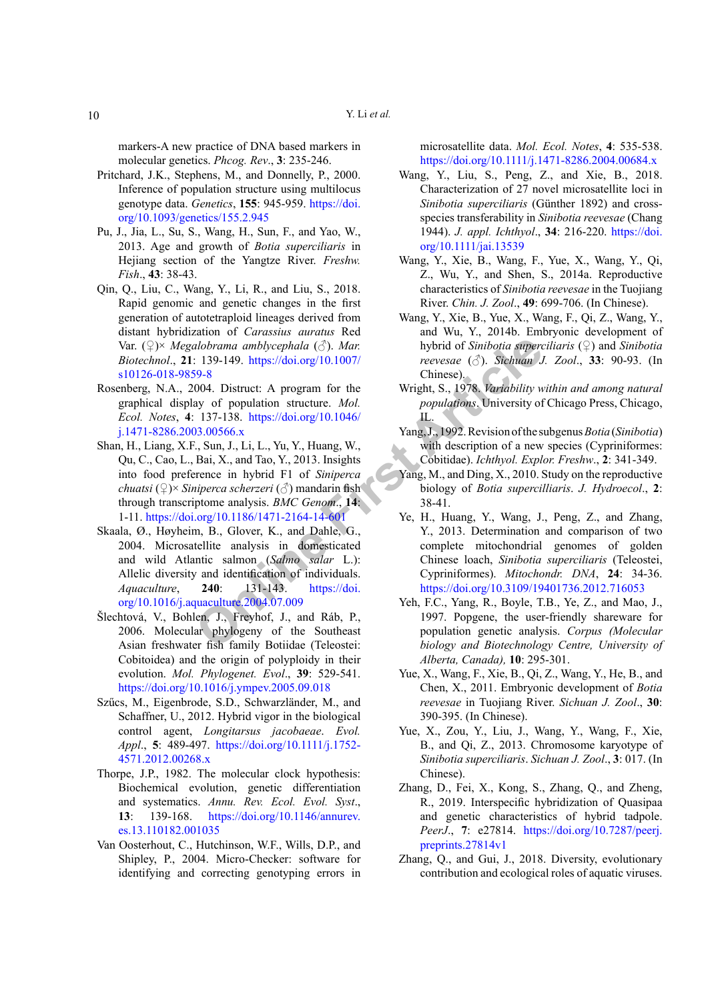markers-A new practice of DNA based markers in molecular genetics. *Phcog. Rev*., **3**: 235-246.

- <span id="page-9-15"></span>Pritchard, J.K., Stephens, M., and Donnelly, P., 2000. Inference of population structure using multilocus genotype data. *Genetics*, **155**: 945-959. [https://doi.](https://doi.org/10.1093/genetics/155.2.945) [org/10.1093/genetics/155.2.945](https://doi.org/10.1093/genetics/155.2.945)
- <span id="page-9-1"></span>Pu, J., Jia, L., Su, S., Wang, H., Sun, F., and Yao, W., 2013. Age and growth of *Botia superciliaris* in Hejiang section of the Yangtze River. *Freshw. Fish*., **43**: 38-43.
- <span id="page-9-10"></span>Qin, Q., Liu, C., Wang, Y., Li, R., and Liu, S., 2018. Rapid genomic and genetic changes in the first generation of autotetraploid lineages derived from distant hybridization of *Carassius auratus* Red Var. (♀)× *Megalobrama amblycephala* (♂). *Mar. Biotechnol*., **21**: 139-149. https://doi.org/10.1007/ [s10126-018-9859-8](https://doi.org/10.1007/s10126-018-9859-8)
- <span id="page-9-16"></span>Rosenberg, N.A., 2004. Distruct: A program for the graphical display of population structure. *Mol. Ecol. Notes*, **4**: 137-138. https://doi.org/10.1046/ [j.1471-8286.2003.00566.x](https://doi.org/10.1046/j.1471-8286.2003.00566.x)
- <span id="page-9-11"></span>Shan, H., Liang, X.F., Sun, J., Li, L., Yu, Y., Huang, W., Qu, C., Cao, L., Bai, X., and Tao, Y., 2013. Insights into food preference in hybrid F1 of *Siniperca chuatsi* (♀)× *Siniperca scherzeri* (♂) mandarin fish through transcriptome analysis. *BMC Genom*., **14**: 1-11. <https://doi.org/10.1186/1471-2164-14-601>
- Xanglering and the state of the Suthern Columns and the state and the state of the state of the state of the state of the state of the state of the state of the state of the state of the state of the state of the state of Skaala, Ø., Høyheim, B., Glover, K., and Dahle, G., 2004. Microsatellite analysis in domesticated and wild Atlantic salmon (*Salmo salar* L.): Allelic diversity and identification of individuals. *Aquaculture*, **240**: 131-143. https://doi. [org/10.1016/j.aquaculture.2004.07.009](https://doi.org/10.1016/j.aquaculture.2004.07.009)
- <span id="page-9-4"></span>Šlechtová, V., Bohlen, J., Freyhof, J., and Ráb, P., 2006. Molecular phylogeny of the Southeast Asian freshwater fish family Botiidae (Teleostei: Cobitoidea) and the origin of polyploidy in their evolution. *Mol. Phylogenet. Evol*., **39**: 529-541. <https://doi.org/10.1016/j.ympev.2005.09.018>
- Szűcs, M., Eigenbrode, S.D., Schwarzländer, M., and Schaffner, U., 2012. Hybrid vigor in the biological control agent, *Longitarsus jacobaeae*. *Evol. Appl*., **5**: 489-497. [https://doi.org/10.1111/j.1752-](https://doi.org/10.1111/j.1752-4571.2012.00268.x) [4571.2012.00268.x](https://doi.org/10.1111/j.1752-4571.2012.00268.x)
- <span id="page-9-17"></span>Thorpe, J.P., 1982. The molecular clock hypothesis: Biochemical evolution, genetic differentiation and systematics. *Annu. Rev. Ecol. Evol. Syst*., **13**: 139-168. [https://doi.org/10.1146/annurev.](https://doi.org/10.1146/annurev.es.13.110182.001035) [es.13.110182.001035](https://doi.org/10.1146/annurev.es.13.110182.001035)
- <span id="page-9-14"></span>Van Oosterhout, C., Hutchinson, W.F., Wills, D.P., and Shipley, P., 2004. Micro-Checker: software for identifying and correcting genotyping errors in

microsatellite data. *Mol. Ecol. Notes*, **4**: 535-538. <https://doi.org/10.1111/j.1471-8286.2004.00684.x>

- <span id="page-9-6"></span>Wang, Y., Liu, S., Peng, Z., and Xie, B., 2018. Characterization of 27 novel microsatellite loci in *Sinibotia superciliaris* (Günther 1892) and crossspecies transferability in *Sinibotia reevesae* (Chang 1944). *J. appl. Ichthyol*., **34**: 216-220. [https://doi.](https://doi.org/10.1111/jai.13539) [org/10.1111/jai.13539](https://doi.org/10.1111/jai.13539)
- <span id="page-9-7"></span>Wang, Y., Xie, B., Wang, F., Yue, X., Wang, Y., Qi, Z., Wu, Y., and Shen, S., 2014a. Reproductive characteristics of *Sinibotia reevesae* in the Tuojiang River. *Chin. J. Zool*., **49**: 699-706. (In Chinese).
- <span id="page-9-9"></span>Wang, Y., Xie, B., Yue, X., Wang, F., Qi, Z., Wang, Y., and Wu, Y., 2014b. Embryonic development of hybrid of *Sinibotia superciliaris* (♀) and *Sinibotia reevesae* (♂). *Sichuan J. Zool*., **33**: 90-93. (In Chinese).
- <span id="page-9-18"></span>Wright, S., 1978. *Variability within and among natural populations*. University of Chicago Press, Chicago, IL.
- <span id="page-9-0"></span>Yang, J., 1992. Revision of the subgenus *Botia* (*Sinibotia*) with description of a new species (Cypriniformes: Cobitidae). *Ichthyol. Explor. Freshw*., **2**: 341-349.
- <span id="page-9-2"></span>Yang, M., and Ding, X., 2010. Study on the reproductive biology of *Botia supercilliaris*. *J. Hydroecol*., **2**: 38-41.
- <span id="page-9-5"></span>Ye, H., Huang, Y., Wang, J., Peng, Z., and Zhang, Y., 2013. Determination and comparison of two complete mitochondrial genomes of golden Chinese loach, *Sinibotia superciliaris* (Teleostei, Cypriniformes). *Mitochondr. DNA*, **24**: 34-36. <https://doi.org/10.3109/19401736.2012.716053>
- <span id="page-9-13"></span>Yeh, F.C., Yang, R., Boyle, T.B., Ye, Z., and Mao, J., 1997. Popgene, the user-friendly shareware for population genetic analysis. *Corpus (Molecular biology and Biotechnology Centre, University of Alberta, Canada),* **10**: 295-301.
- <span id="page-9-8"></span>Yue, X., Wang, F., Xie, B., Qi, Z., Wang, Y., He, B., and Chen, X., 2011. Embryonic development of *Botia reevesae* in Tuojiang River. *Sichuan J. Zool*., **30**: 390-395. (In Chinese).
- <span id="page-9-3"></span>Yue, X., Zou, Y., Liu, J., Wang, Y., Wang, F., Xie, B., and Qi, Z., 2013. Chromosome karyotype of *Sinibotia superciliaris*. *Sichuan J. Zool*., **3**: 017. (In Chinese).
- <span id="page-9-19"></span>Zhang, D., Fei, X., Kong, S., Zhang, Q., and Zheng, R., 2019. Interspecific hybridization of Quasipaa and genetic characteristics of hybrid tadpole. *PeerJ*., **7**: e27814. [https://doi.org/10.7287/peerj.](https://doi.org/10.7287/peerj.preprints.27814v1) [preprints.27814v1](https://doi.org/10.7287/peerj.preprints.27814v1)
- <span id="page-9-12"></span>Zhang, Q., and Gui, J., 2018. Diversity, evolutionary contribution and ecological roles of aquatic viruses.